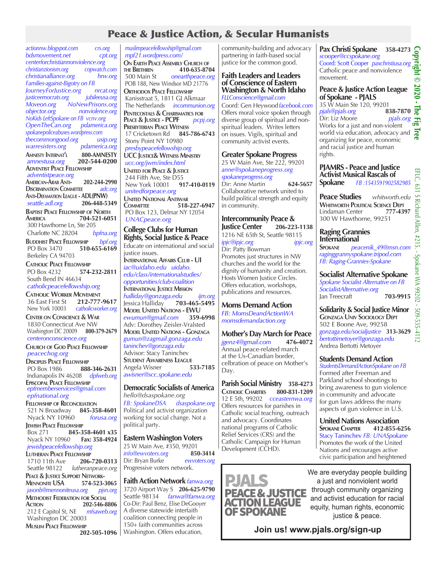# Peace & Justice Action, & Secular Humanists

*actionnw.blogspot.com crs.org bdsmovement.net cpt.org centerforchristiannonviolence.org christianzionism.org copwatch.com christianalliance.org hrw.org Families-against-Bigotry on FB JourneyForJustice.org nrcat.org justiceemocrats.org jubileeusa.org Moveon.org NoNewPrisons.org objector.org nonviolence.org NoKids LeftSpokane on FB vcnv.org OpenTheCan.org spokanepoliceabuses.wordpress.com thecommongood.org usip.org warresisters.org pdamerica.org* **Amnesty Internat'l 800-AMNESTY** *amnestusa.org* **202-544-0200 ADVENTIST PEACE FELLOWSHIP**  *adventistpeace.org* **American-Arab Anti- 202-244-2990 DISCRIMINATION COMMITTEE Anti-Defamation League - ADL(PNW)**  *seattle.adl.org* **206-448-5349 Baptist Peace Fellowship of North America 704-521-6051** 300 Hawthorne Ln, Ste 205 Charlotte NC 28204 *bpfna.org* **Buddhist Peace Fellowship** *bpf.org* PO Box 3470 **510-655-6169** Berkeley CA 94703 **Catholic Peace Fellowship** PO Box 4232 **574-232-2811** South Bend IN 46634  *catholicpeacefellowship.org* **CATHOLIC WORKER MOVEMENT**<br>36 East First St **212-777-9617** 36 East First St New York 10003 *catholicworker.org* **Center on Conscience & War** 1830 Connecticut Ave NW Washington DC 20009 **800-379-2679**  *centeronconscience.org* **Church of God Peace Fellowship**  *peacechog.org* **DISCIPLES PEACE FELLOWSHIP**<br>PO Box 1986 888 PO Box 1986 **888-346-2631** Indianapolis IN 46208 *dpfweb.org* **Episcopal Peace Fellowship**  *epfmemberservices@gmail.com epfnational.org* **Fellowship of Reconciliation** 521 N Broadway **845-358-4601**  Nyack NY 10960 *forusa.org* **JEWISH PEACE FELLOWSHIP**<br>Box 271 **845-3** 845-358-4601 x35<br>0 Fax: 358-4924 Nyack NY 10960 **Fax: 358-4924**   *jewishpeacefellowship.org* **Lutheran Peace Fellowship** 1710 11th Ave **206-720-0313**  lutheranpeace.org **Peace & Justice Support Network- Mennonite USA 574-523-3065** *jasonb@mennoniteusa.org pjsn.org* **Methodist Federation for Social 202-546-8806**<br>*mfsaweb.org*  212 E Capitol St, NE *mfsaweb.org* Washington DC 20003 **Muslim Peace Fellowship 202-505-1096**

*muslimpeacefellowship@gmail.com mpf21.wordpress.com/* **On Earth Peace Assembly Church of the Brethren 410-635-8704** 500 Main St *onearthpeace.org* POB 188, New Windsor MD 21776 **ORTHODOX PEACE FELLOWSHIP**  Kanisstraat 5, 1811 GJ Alkmaar The Netherlands *incommunion.org* **Pentecostals & Charismatics for Peace & Justice - PCPF** *pcpj.org* **Presbyterian Peace Witness** 17 Cricketown Rd **845-786-6743** Stony Point NY 10980  *presbypeacefellowship.org* **UCC Justice& Witness Ministry**  *ucc.org/jwm/index.html* **United for Peace & Justice** 244 Fifth Ave, Ste D55<br>New York 10001 917-410-0119 New York 10001 *unitedforpeace.org* **UNITED NATIONAL ANTIWAR**<br>**COMMITTEE** 518-**Committee 518-227-6947** PO Box 123, Delmar NY 12054 *UNACpeace.org* **College Clubs for Human** 

#### **Rights, Social Justice & Peace** Educate on international and social justice issues. **International Affairs Club - UI**

*iac@uidaho.edu uidaho. edu/class/internationalstudies/ opportunities/club-coalition* **International Justice Mission** *halliday@gonzaga.edu ijm.org* Jessica Halliday **703-465-5495 MODEL UNITED NATIONS - EWU**<br> **ewumun@gmail.com** 359-6998 *ewumun@gmail.com* **359-6998** Adv: Dorothey Zeisler-Vralsted **Model United Nations - Gonzaga** *gumun@zagmail.gonzaga.edu taninchev@gonzaga.edu*  Advisor: Stacy Taninchev **Student Awareness League** Angela Wisner **533-7185** *awisner@scc.spokane.edu* 

### **Democratic Socialists of America**  *hello@dsaspokane.org FB: SpokaneDSA dsaspokane.org* Political and activist organization

working for social change. Not a political party.

### **Eastern Washington Voters**

25 W Main Ave, #350, 99201<br>
info@ewyoters.org 850-3414 *info@ewvoters.org* **850-3414** Dir: Bryan Burke Progressive voters network.

**Faith Action Network** *fanwa.org* 3720 Airport Way S **206-625-9790** Seattle 98134 *fanwa@fanwa.org* Co-Dir: Paul Benz, Elise DeGooyer A diverse statewide interfaith coalition connecting people in 150+ faith communities across Washington. Offers education,

community-building and advocacy partnering in faith-based social justice for the common good.

#### **Faith Leaders and Leaders of Conscience of Eastern Washington & North Idaho** *FLLConscience@gmail.com*

Coord: Gen Heywood*facebook.com* Offers moral voice spoken through diverse group of spiritual and nonspiritual leaders. Writes letters on issues. Vigils, spiritual and community activist events.

# **Greater Spokane Progress**

25 W Main Ave, Ste 222, 99201 *anne@spokaneprogress.org spokaneprogress.org* Dir: Anne Martin **624-5657** Collaborative network united to

build political strength and equity in community.

#### **Intercommunity Peace & Justice Center 206-223-1138** 1216 NE 65th St, Seattle 98115 *ipjc@ipjc.org ipjc.org* Dir: Patty Bowman Promotes just structures in NW churches and the world for the dignity of humanity and creation. Hosts Women Justice Circles. Offers education, workshops, publications and resources.

# **Moms Demand Action**

*FB: MomsDeandActionWA momsdemandaction.org*

**Mother's Day March for Peace** *jgenz4@gmail.com* **476-4072** Annual peace-related march at the Us-Canadian border, celbration of peace on Mother's Day.

**Parish Social Ministry 358-4273 Catholic Charities 800-831-1209**  12 E 5th, 99202 *cceasternwa.org*  Offers resources for parishes in Catholic social teaching, outreach and advocacy. Coordinates national programs of Catholic Relief Services (CRS) and the Catholic Campaign for Human Development (CCHD).



We are everyday people building a just and nonviolent world through community organizing and activist education for racial equity, human rights, economic justice & peace.

**Join us! www.pjals.org/sign-up**

**Pax Christi Spokane 358-4273**  scooper@ccspokane.org<br>Coord: Scott Cooper *paxchristiusa.org*<br>Catholic peace and nonviolence<br>movement *scooper@ccspokane.org* Catholic peace and nonviolence movement.  $\odot$ 2020

### **Peace & Justice Action League of Spokane - PJALS**

35 W Main Ste 120, 99201<br>pjals@pjals.org 838-7870 *pjals@pjals.org* **838-7870**<br>Dir: Liz Moore *pjals.org*<br>Wesle for a just and non-violent Dir: Liz Moore Works for a just and non-violent world via education, advocacy and  $\overrightarrow{a}$ organizing for peace, economic and racial justice and human rights. **Copyright © 2020 - The Fig Tree** 

# **PJAMRS - Peace and Justice Activist Musical Rascals of Spokane** *FB :1543591902582985* **Peace Studies** *whitworth.edu*

**WHITWORTH POLITICAL SCIENCE DEPT**<br>Lindaman Center **777-4397** Lindaman Center **777-4397** 300 W Hawthorne, 99251

# **Raging Grannies International**

**Spokane** *peacenik\_49@msn.com raginggrannyspokane.tripod.com FB: Raging-Grannies-Spokane*

EFLC, 631 S Richard Allen, #215. - Spokane WA 99202 - 509-535-4112

Spokane WA 99202

509-535-4112

 $7<sup>4</sup>$ ਼ੁਰ

Richard Allen,

需 Ë  $63.1$  $\overline{\mathbf{S}}$ 

**Socialist Alternative Spokane** *Spokane Socialist Alternative on FB SocialistAlternative.org* Jan Treecraft **703-9915**

**Solidarity & Social Justice Minor Gonzaga Univ Sociology Dept** 502 E Boone Ave, 99258 *gonzaga.edu/socialjustice* **313-3629** *bertottimetoyer@gonzaga.edu* Andrea Bertotti Metoyer

# **Students Demand Action**

*StudentsDemandActionSpokane on FB* Formed after Freeman and Parkland school shootings to bring awareness to gun violence in community and advocate for gun laws address the many aspects of gun violence in U.S.

**United Nations Association SPOKANE** CHAPTER Stacy Taninchev *FB: UNASpokane* Promotes the work of the United Nations and encourages active civic participation and heightened